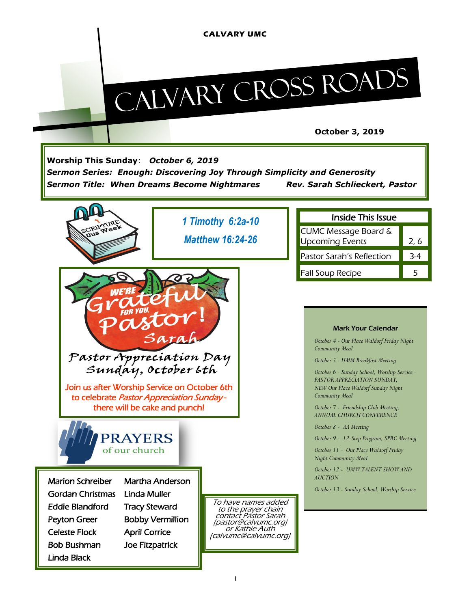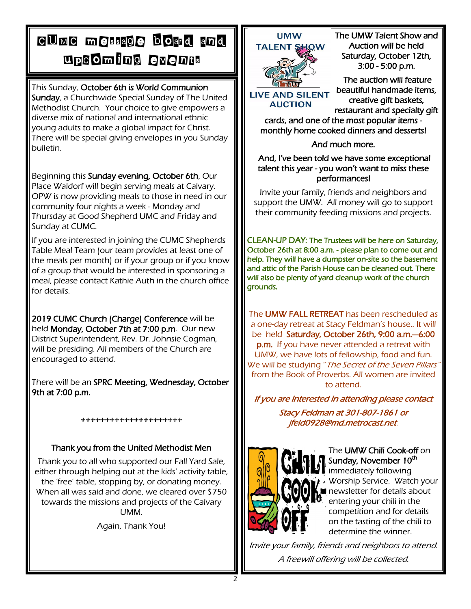## CUMC message board and upcoming events

This Sunday, October 6th is World Communion Sunday, a Churchwide Special Sunday of The United Methodist Church. Your choice to give empowers a diverse mix of national and international ethnic young adults to make a global impact for Christ. There will be special giving envelopes in you Sunday bulletin.

Beginning this Sunday evening, October 6th, Our Place Waldorf will begin serving meals at Calvary. OPW is now providing meals to those in need in our community four nights a week - Monday and Thursday at Good Shepherd UMC and Friday and Sunday at CUMC.

If you are interested in joining the CUMC Shepherds Table Meal Team (our team provides at least one of the meals per month) or if your group or if you know of a group that would be interested in sponsoring a meal, please contact Kathie Auth in the church office for details.

2019 CUMC Church (Charge) Conference will be held Monday, October 7th at 7:00 p.m. Our new District Superintendent, Rev. Dr. Johnsie Cogman, will be presiding. All members of the Church are encouraged to attend.

There will be an SPRC Meeting, Wednesday, October 9th at 7:00 p.m.

#### +++++++++++++++++++++

### Thank you from the United Methodist Men

Thank you to all who supported our Fall Yard Sale, either through helping out at the kids' activity table, the 'free' table, stopping by, or donating money. When all was said and done, we cleared over \$750 towards the missions and projects of the Calvary UMM.

Again, Thank You!

### **UMW**



**LIVE AND SILENT AUCTION** 

The UMW Talent Show and Auction will be held Saturday, October 12th, 3:00 - 5:00 p.m.

 The auction will feature beautiful handmade items, creative gift baskets, restaurant and specialty gift

cards, and one of the most popular items monthly home cooked dinners and desserts!

And much more.

 And, I've been told we have some exceptional talent this year - you won't want to miss these performances!

Invite your family, friends and neighbors and support the UMW. All money will go to support their community feeding missions and projects.

CLEAN-UP DAY: The Trustees will be here on Saturday, October 26th at 8:00 a.m. - please plan to come out and help. They will have a dumpster on-site so the basement and attic of the Parish House can be cleaned out. There will also be plenty of yard cleanup work of the church grounds.

The **UMW FALL RETREAT** has been rescheduled as a one-day retreat at Stacy Feldman's house.. It will be held Saturday, October 26th, 9:00 a.m.—6:00 **p.m.** If you have never attended a retreat with UMW, we have lots of fellowship, food and fun. We will be studying "The Secret of the Seven Pillars from the Book of Proverbs. All women are invited to attend.

If you are interested in attending please contact

Stacy Feldman at 301-807-1861 or jfeld0928@md.metrocast.net.



The UMW Chili Cook-off on Sunday, November 10<sup>th</sup> immediately following

Worship Service. Watch your newsletter for details about entering your chili in the competition and for details on the tasting of the chili to determine the winner.

Invite your family, friends and neighbors to attend. A freewill offering will be collected.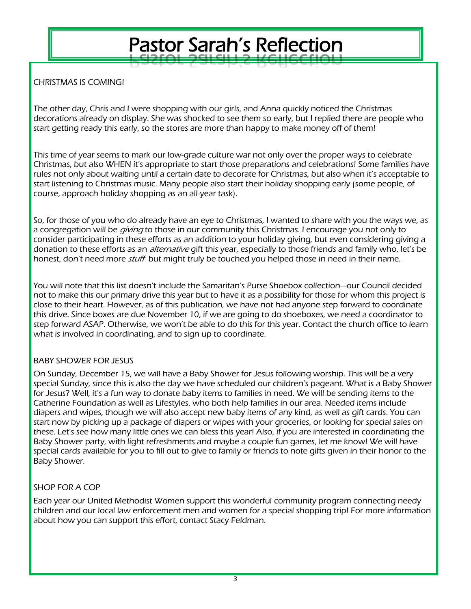## Pastor Sarah's Reflection

CHRISTMAS IS COMING!

The other day, Chris and I were shopping with our girls, and Anna quickly noticed the Christmas decorations already on display. She was shocked to see them so early, but I replied there are people who start getting ready this early, so the stores are more than happy to make money off of them!

This time of year seems to mark our low-grade culture war not only over the proper ways to celebrate Christmas, but also WHEN it's appropriate to start those preparations and celebrations! Some families have rules not only about waiting until a certain date to decorate for Christmas, but also when it's acceptable to start listening to Christmas music. Many people also start their holiday shopping early (some people, of course, approach holiday shopping as an all-year task).

So, for those of you who do already have an eye to Christmas, I wanted to share with you the ways we, as a congregation will be *giving* to those in our community this Christmas. I encourage you not only to consider participating in these efforts as an addition to your holiday giving, but even considering giving a donation to these efforts as an *alternative* gift this year, especially to those friends and family who, let's be honest, don't need more *stuff* but might truly be touched you helped those in need in their name.

You will note that this list doesn't include the Samaritan's Purse Shoebox collection—our Council decided not to make this our primary drive this year but to have it as a possibility for those for whom this project is close to their heart. However, as of this publication, we have not had anyone step forward to coordinate this drive. Since boxes are due November 10, if we are going to do shoeboxes, we need a coordinator to step forward ASAP. Otherwise, we won't be able to do this for this year. Contact the church office to learn what is involved in coordinating, and to sign up to coordinate.

#### BABY SHOWER FOR JESUS

On Sunday, December 15, we will have a Baby Shower for Jesus following worship. This will be a very special Sunday, since this is also the day we have scheduled our children's pageant. What is a Baby Shower for Jesus? Well, it's a fun way to donate baby items to families in need. We will be sending items to the Catherine Foundation as well as Lifestyles, who both help families in our area. Needed items include diapers and wipes, though we will also accept new baby items of any kind, as well as gift cards. You can start now by picking up a package of diapers or wipes with your groceries, or looking for special sales on these. Let's see how many little ones we can bless this year! Also, if you are interested in coordinating the Baby Shower party, with light refreshments and maybe a couple fun games, let me know! We will have special cards available for you to fill out to give to family or friends to note gifts given in their honor to the Baby Shower.

#### SHOP FOR A COP

Each year our United Methodist Women support this wonderful community program connecting needy children and our local law enforcement men and women for a special shopping trip! For more information about how you can support this effort, contact Stacy Feldman.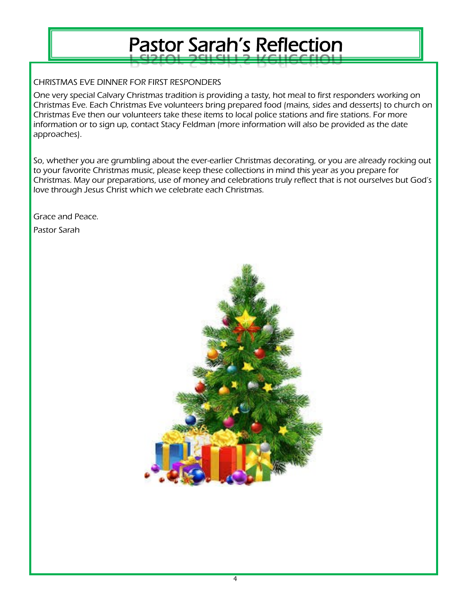# Pastor Sarah's Reflection

CHRISTMAS EVE DINNER FOR FIRST RESPONDERS

One very special Calvary Christmas tradition is providing a tasty, hot meal to first responders working on Christmas Eve. Each Christmas Eve volunteers bring prepared food (mains, sides and desserts) to church on Christmas Eve then our volunteers take these items to local police stations and fire stations. For more information or to sign up, contact Stacy Feldman (more information will also be provided as the date approaches).

So, whether you are grumbling about the ever-earlier Christmas decorating, or you are already rocking out to your favorite Christmas music, please keep these collections in mind this year as you prepare for Christmas. May our preparations, use of money and celebrations truly reflect that is not ourselves but God's love through Jesus Christ which we celebrate each Christmas.

Grace and Peace.

Pastor Sarah

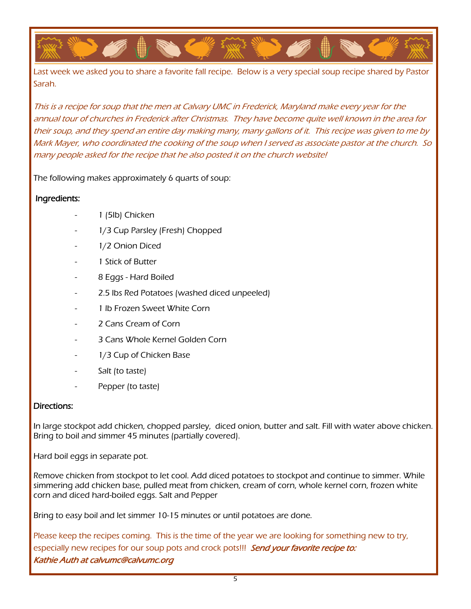Last week we asked you to share a favorite fall recipe. Below is a very special soup recipe shared by Pastor Sarah.

This is a recipe for soup that the men at Calvary UMC in Frederick, Maryland make every year for the annual tour of churches in Frederick after Christmas. They have become quite well known in the area for their soup, and they spend an entire day making many, many gallons of it. This recipe was given to me by Mark Mayer, who coordinated the cooking of the soup when I served as associate pastor at the church. So many people asked for the recipe that he also posted it on the church website!

The following makes approximately 6 quarts of soup:

#### Ingredients:

- 1 (5lb) Chicken
- 1/3 Cup Parsley (Fresh) Chopped
- 1/2 Onion Diced
- 1 Stick of Butter
- 8 Eggs Hard Boiled
- 2.5 lbs Red Potatoes (washed diced unpeeled)
- 1 lb Frozen Sweet White Corn
- 2 Cans Cream of Corn
- 3 Cans Whole Kernel Golden Corn
- 1/3 Cup of Chicken Base
- Salt (to taste)
- Pepper (to taste)

#### Directions:

In large stockpot add chicken, chopped parsley, diced onion, butter and salt. Fill with water above chicken. Bring to boil and simmer 45 minutes (partially covered).

Hard boil eggs in separate pot.

Remove chicken from stockpot to let cool. Add diced potatoes to stockpot and continue to simmer. While simmering add chicken base, pulled meat from chicken, cream of corn, whole kernel corn, frozen white corn and diced hard-boiled eggs. Salt and Pepper

Bring to easy boil and let simmer 10-15 minutes or until potatoes are done.

Please keep the recipes coming. This is the time of the year we are looking for something new to try, especially new recipes for our soup pots and crock pots!!! Send your favorite recipe to: Kathie Auth at calvumc@calvumc.org